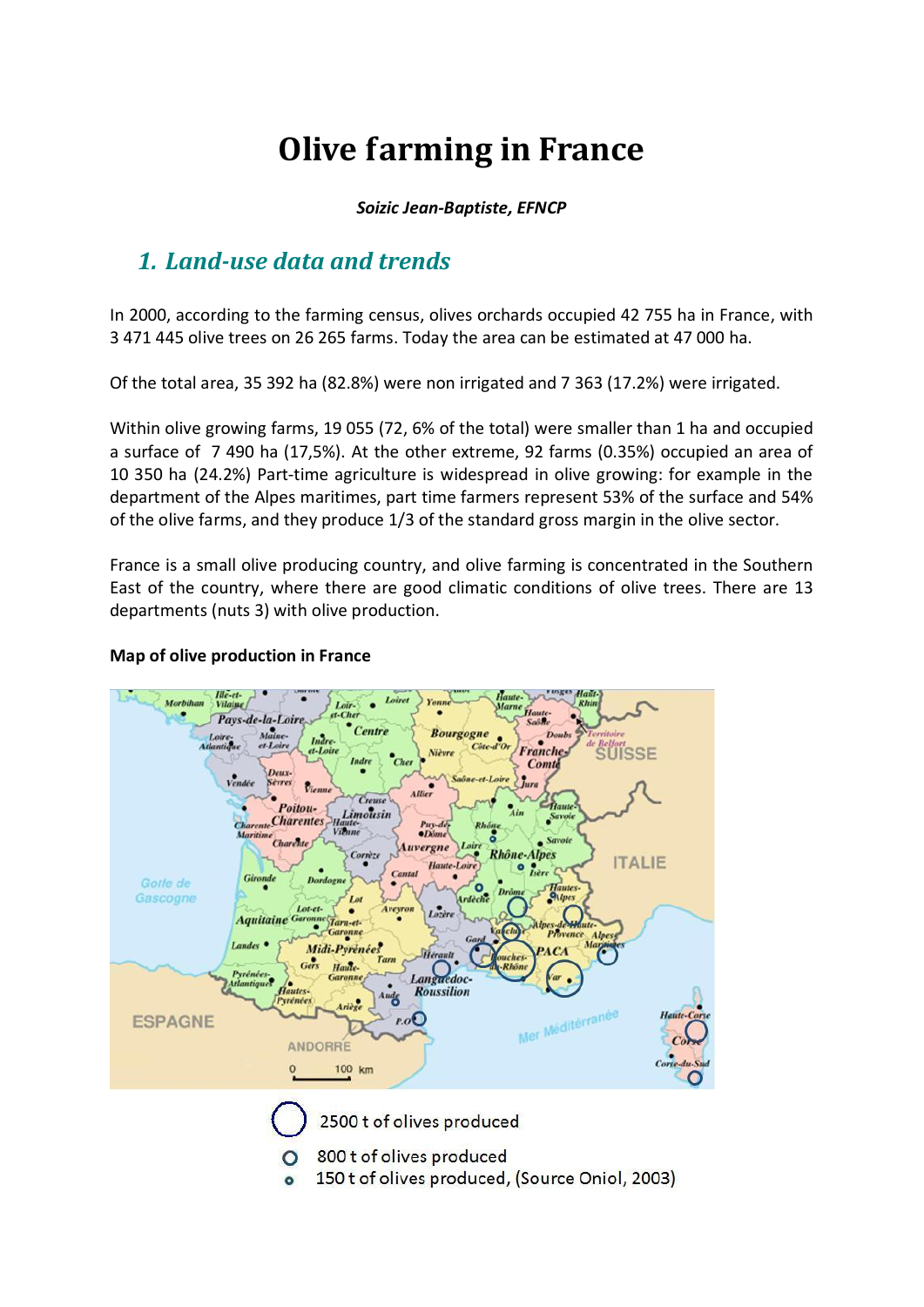# **Olive farming in France**

#### *Soizic Jean-Baptiste, EFNCP*

## *1. Land-use data and trends*

In 2000, according to the farming census, olives orchards occupied 42 755 ha in France, with 3 471 445 olive trees on 26 265 farms. Today the area can be estimated at 47 000 ha.

Of the total area, 35 392 ha (82.8%) were non irrigated and 7 363 (17.2%) were irrigated.

Within olive growing farms, 19 055 (72, 6% of the total) were smaller than 1 ha and occupied a surface of 7 490 ha (17,5%). At the other extreme, 92 farms (0.35%) occupied an area of 10 350 ha (24.2%) Part-time agriculture is widespread in olive growing: for example in the department of the Alpes maritimes, part time farmers represent 53% of the surface and 54% of the olive farms, and they produce 1/3 of the standard gross margin in the olive sector.

France is a small olive producing country, and olive farming is concentrated in the Southern East of the country, where there are good climatic conditions of olive trees. There are 13 departments (nuts 3) with olive production.



#### **Map of olive production in France**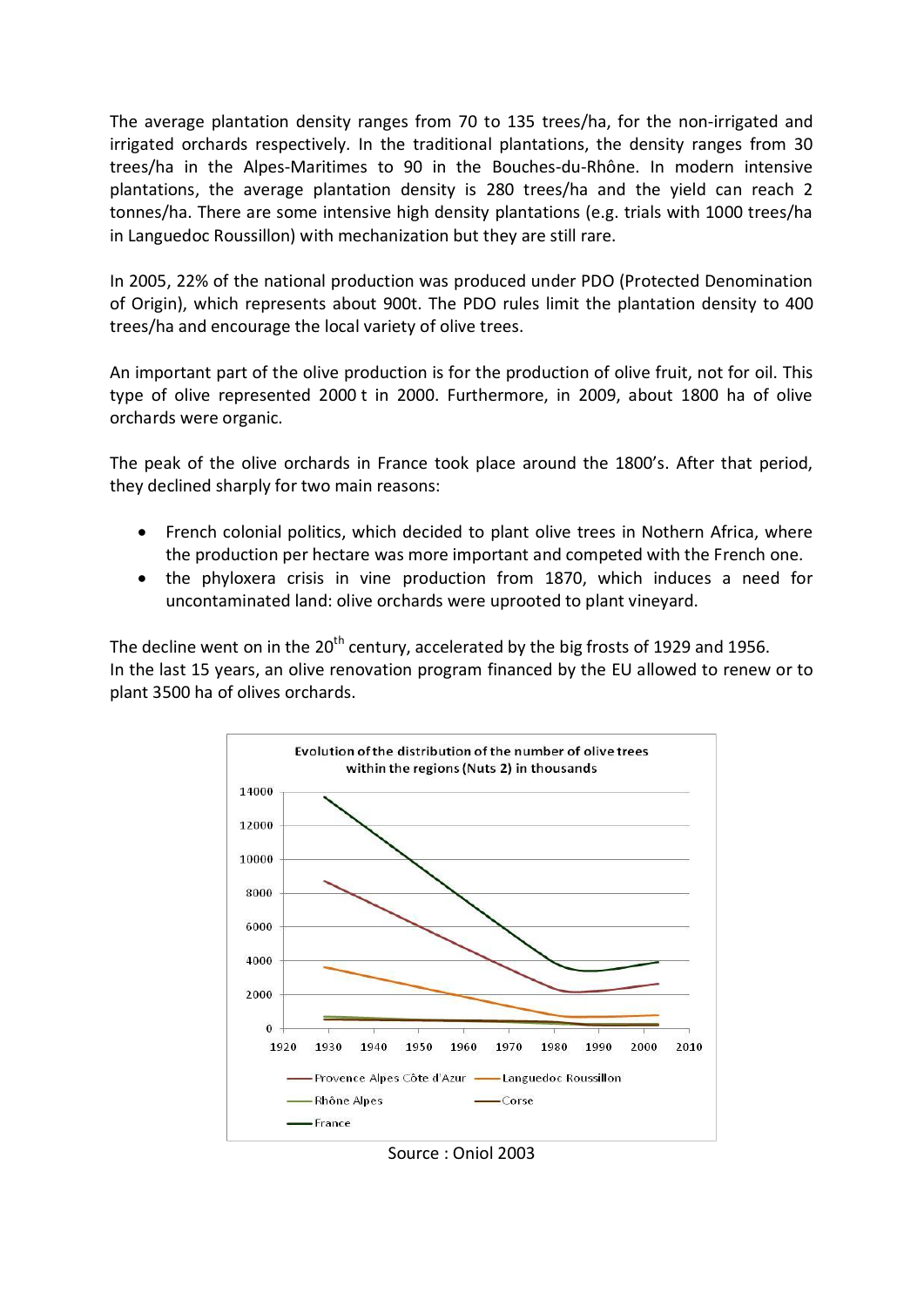The average plantation density ranges from 70 to 135 trees/ha, for the non-irrigated and irrigated orchards respectively. In the traditional plantations, the density ranges from 30 trees/ha in the Alpes-Maritimes to 90 in the Bouches-du-Rhône. In modern intensive plantations, the average plantation density is 280 trees/ha and the yield can reach 2 tonnes/ha. There are some intensive high density plantations (e.g. trials with 1000 trees/ha in Languedoc Roussillon) with mechanization but they are still rare.

In 2005, 22% of the national production was produced under PDO (Protected Denomination of Origin), which represents about 900t. The PDO rules limit the plantation density to 400 trees/ha and encourage the local variety of olive trees.

An important part of the olive production is for the production of olive fruit, not for oil. This type of olive represented 2000 t in 2000. Furthermore, in 2009, about 1800 ha of olive orchards were organic.

The peak of the olive orchards in France took place around the 1800's. After that period, they declined sharply for two main reasons:

- French colonial politics, which decided to plant olive trees in Nothern Africa, where the production per hectare was more important and competed with the French one.
- the phyloxera crisis in vine production from 1870, which induces a need for uncontaminated land: olive orchards were uprooted to plant vineyard.

The decline went on in the 20<sup>th</sup> century, accelerated by the big frosts of 1929 and 1956. In the last 15 years, an olive renovation program financed by the EU allowed to renew or to plant 3500 ha of olives orchards.



Source : Oniol 2003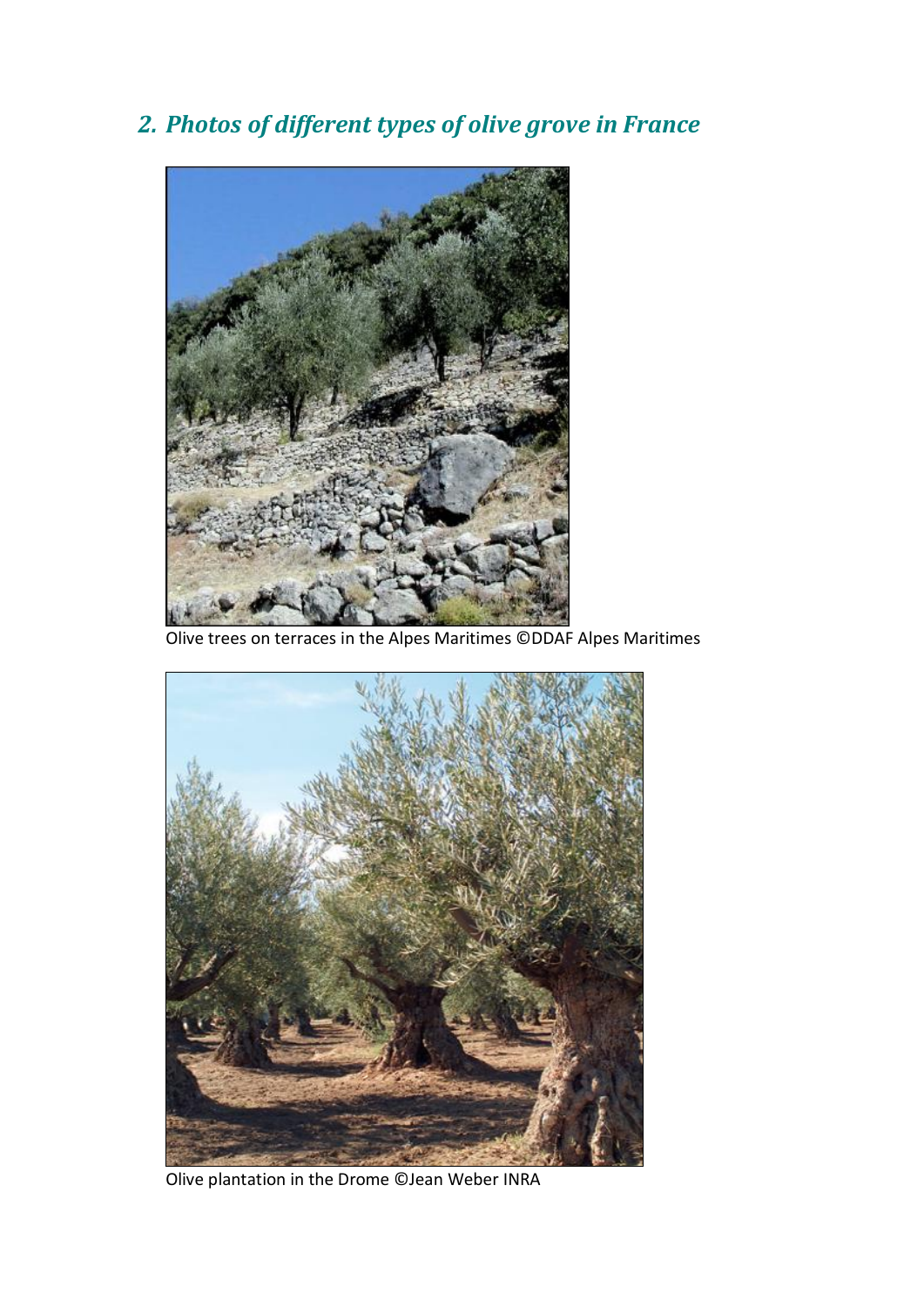*2. Photos of different types of olive grove in France*



Olive trees on terraces in the Alpes Maritimes ©DDAF Alpes Maritimes



Olive plantation in the Drome ©Jean Weber INRA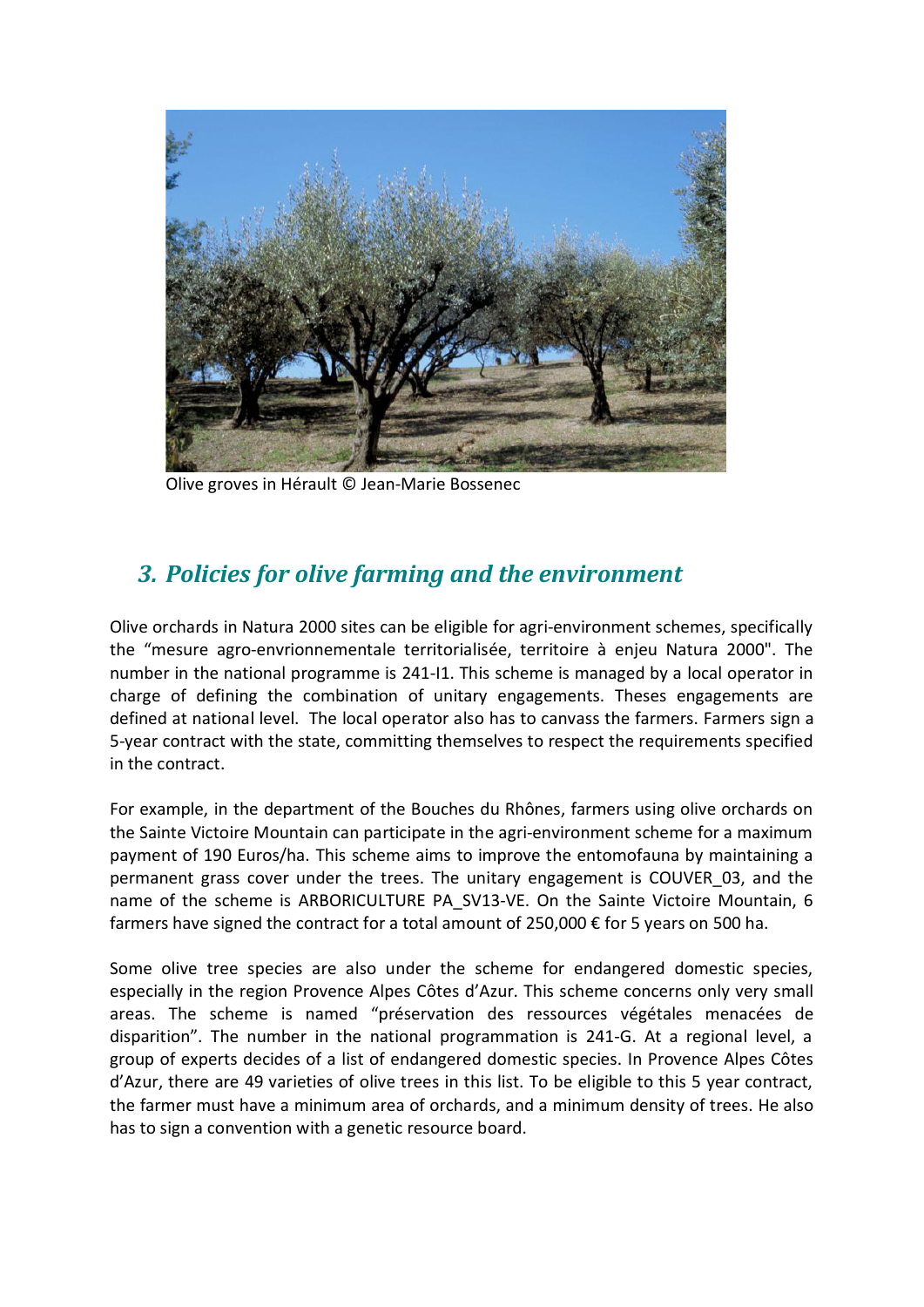

Olive groves in Hérault © Jean-Marie Bossenec

### *3. Policies for olive farming and the environment*

Olive orchards in Natura 2000 sites can be eligible for agri-environment schemes, specifically the "mesure agro-envrionnementale territorialisée, territoire à enjeu Natura 2000". The number in the national programme is 241-I1. This scheme is managed by a local operator in charge of defining the combination of unitary engagements. Theses engagements are defined at national level. The local operator also has to canvass the farmers. Farmers sign a 5-year contract with the state, committing themselves to respect the requirements specified in the contract.

For example, in the department of the Bouches du Rhônes, farmers using olive orchards on the Sainte Victoire Mountain can participate in the agri-environment scheme for a maximum payment of 190 Euros/ha. This scheme aims to improve the entomofauna by maintaining a permanent grass cover under the trees. The unitary engagement is COUVER\_03, and the name of the scheme is ARBORICULTURE PA SV13-VE. On the Sainte Victoire Mountain, 6 farmers have signed the contract for a total amount of 250,000 € for 5 years on 500 ha.

Some olive tree species are also under the scheme for endangered domestic species, especially in the region Provence Alpes Côtes d'Azur. This scheme concerns only very small areas. The scheme is named "préservation des ressources végétales menacées de disparition". The number in the national programmation is 241-G. At a regional level, a group of experts decides of a list of endangered domestic species. In Provence Alpes Côtes d'Azur, there are 49 varieties of olive trees in this list. To be eligible to this 5 year contract, the farmer must have a minimum area of orchards, and a minimum density of trees. He also has to sign a convention with a genetic resource board.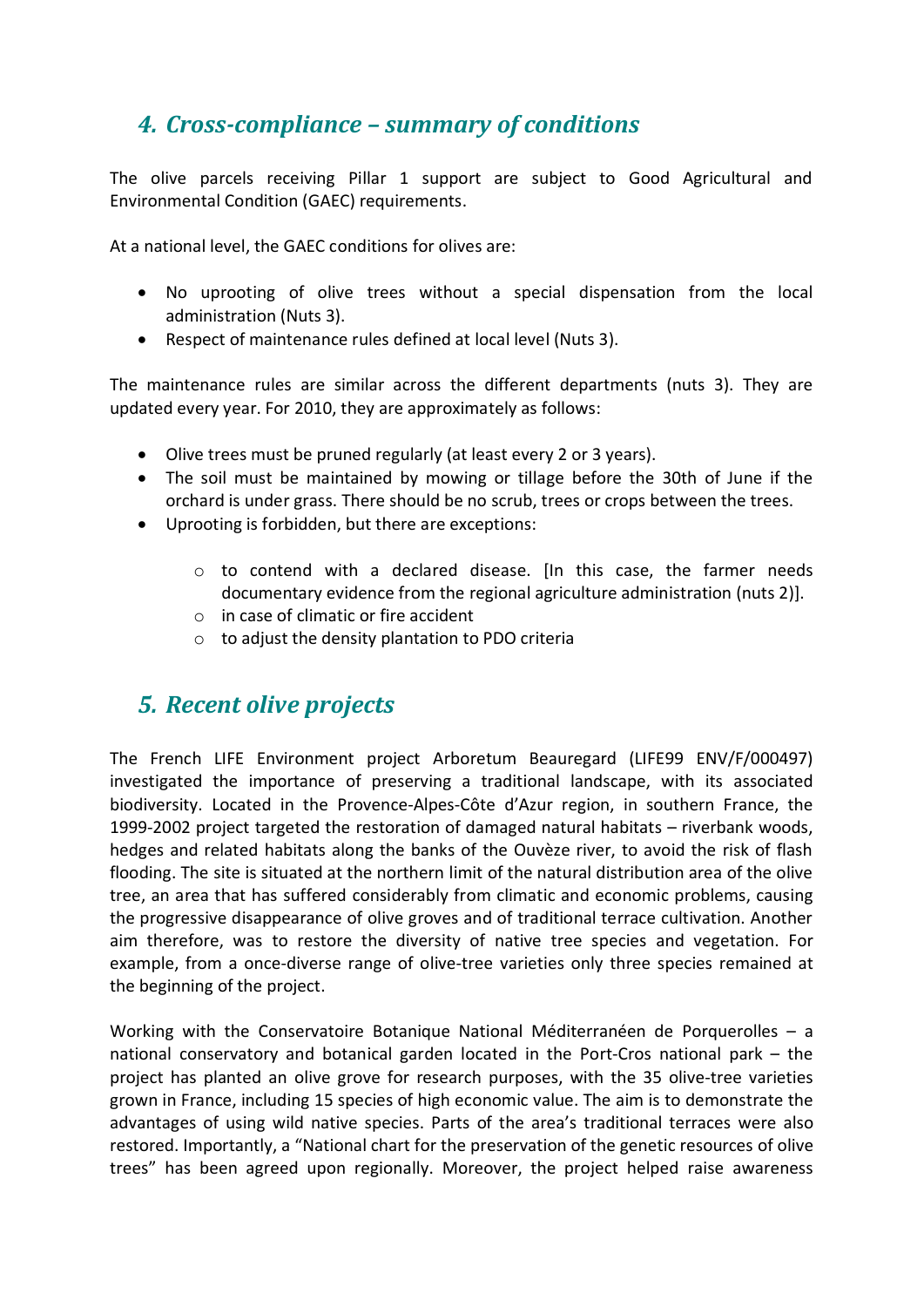### *4. Cross-complianceȂsummary of conditions*

The olive parcels receiving Pillar 1 support are subject to Good Agricultural and Environmental Condition (GAEC) requirements.

At a national level, the GAEC conditions for olives are:

- No uprooting of olive trees without a special dispensation from the local administration (Nuts 3).
- Respect of maintenance rules defined at local level (Nuts 3).

The maintenance rules are similar across the different departments (nuts 3). They are updated every year. For 2010, they are approximately as follows:

- Olive trees must be pruned regularly (at least every 2 or 3 years).
- The soil must be maintained by mowing or tillage before the 30th of June if the orchard is under grass. There should be no scrub, trees or crops between the trees.
- Uprooting is forbidden, but there are exceptions:
	- $\circ$  to contend with a declared disease. In this case, the farmer needs documentary evidence from the regional agriculture administration (nuts 2)].
	- o in case of climatic or fire accident
	- o to adjust the density plantation to PDO criteria

### *5. Recent olive projects*

The French LIFE Environment project Arboretum Beauregard (LIFE99 ENV/F/000497) investigated the importance of preserving a traditional landscape, with its associated biodiversity. Located in the Provence-Alpes-Côte d'Azur region, in southern France, the 1999-2002 project targeted the restoration of damaged natural habitats – riverbank woods, hedges and related habitats along the banks of the Ouvèze river, to avoid the risk of flash flooding. The site is situated at the northern limit of the natural distribution area of the olive tree, an area that has suffered considerably from climatic and economic problems, causing the progressive disappearance of olive groves and of traditional terrace cultivation. Another aim therefore, was to restore the diversity of native tree species and vegetation. For example, from a once-diverse range of olive-tree varieties only three species remained at the beginning of the project.

Working with the Conservatoire Botanique National Méditerranéen de Porquerolles – a national conservatory and botanical garden located in the Port-Cros national park – the project has planted an olive grove for research purposes, with the 35 olive-tree varieties grown in France, including 15 species of high economic value. The aim is to demonstrate the advantages of using wild native species. Parts of the area's traditional terraces were also restored. Importantly, a "National chart for the preservation of the genetic resources of olive trees" has been agreed upon regionally. Moreover, the project helped raise awareness